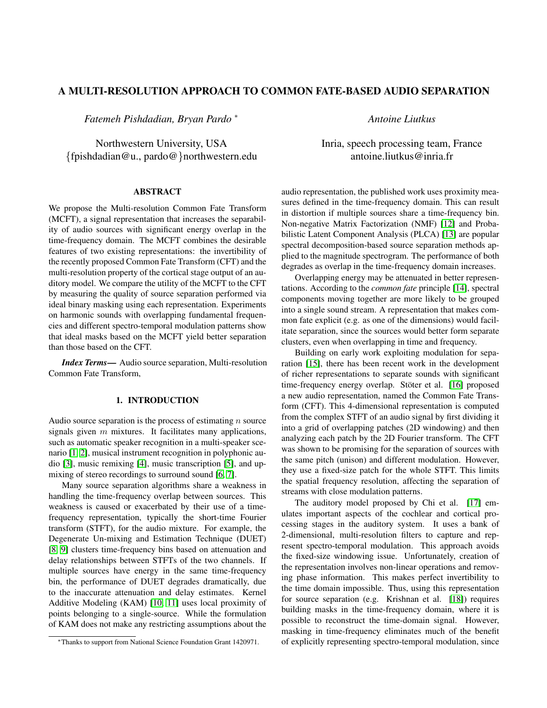# A MULTI-RESOLUTION APPROACH TO COMMON FATE-BASED AUDIO SEPARATION

*Fatemeh Pishdadian, Bryan Pardo* <sup>∗</sup>

Northwestern University, USA {fpishdadian@u., pardo@}northwestern.edu

## ABSTRACT

We propose the Multi-resolution Common Fate Transform (MCFT), a signal representation that increases the separability of audio sources with significant energy overlap in the time-frequency domain. The MCFT combines the desirable features of two existing representations: the invertibility of the recently proposed Common Fate Transform (CFT) and the multi-resolution property of the cortical stage output of an auditory model. We compare the utility of the MCFT to the CFT by measuring the quality of source separation performed via ideal binary masking using each representation. Experiments on harmonic sounds with overlapping fundamental frequencies and different spectro-temporal modulation patterns show that ideal masks based on the MCFT yield better separation than those based on the CFT.

*Index Terms*— Audio source separation, Multi-resolution Common Fate Transform,

## 1. INTRODUCTION

Audio source separation is the process of estimating  $n$  source signals given  $m$  mixtures. It facilitates many applications, such as automatic speaker recognition in a multi-speaker scenario [\[1,](#page-4-0) [2\]](#page-4-1), musical instrument recognition in polyphonic audio [\[3\]](#page-4-2), music remixing [\[4\]](#page-4-3), music transcription [\[5\]](#page-4-4), and upmixing of stereo recordings to surround sound [\[6,](#page-4-5) [7\]](#page-4-6).

Many source separation algorithms share a weakness in handling the time-frequency overlap between sources. This weakness is caused or exacerbated by their use of a timefrequency representation, typically the short-time Fourier transform (STFT), for the audio mixture. For example, the Degenerate Un-mixing and Estimation Technique (DUET) [\[8,](#page-4-7) [9\]](#page-4-8) clusters time-frequency bins based on attenuation and delay relationships between STFTs of the two channels. If multiple sources have energy in the same time-frequency bin, the performance of DUET degrades dramatically, due to the inaccurate attenuation and delay estimates. Kernel Additive Modeling (KAM) [\[10,](#page-4-9) [11\]](#page-4-10) uses local proximity of points belonging to a single-source. While the formulation of KAM does not make any restricting assumptions about the *Antoine Liutkus*

Inria, speech processing team, France antoine.liutkus@inria.fr

audio representation, the published work uses proximity measures defined in the time-frequency domain. This can result in distortion if multiple sources share a time-frequency bin. Non-negative Matrix Factorization (NMF) [\[12\]](#page-4-11) and Probabilistic Latent Component Analysis (PLCA) [\[13\]](#page-4-12) are popular spectral decomposition-based source separation methods applied to the magnitude spectrogram. The performance of both degrades as overlap in the time-frequency domain increases.

Overlapping energy may be attenuated in better representations. According to the *common fate* principle [\[14\]](#page-4-13), spectral components moving together are more likely to be grouped into a single sound stream. A representation that makes common fate explicit (e.g. as one of the dimensions) would facilitate separation, since the sources would better form separate clusters, even when overlapping in time and frequency.

Building on early work exploiting modulation for separation [\[15\]](#page-4-14), there has been recent work in the development of richer representations to separate sounds with significant time-frequency energy overlap. Stöter et al. [\[16\]](#page-4-15) proposed a new audio representation, named the Common Fate Transform (CFT). This 4-dimensional representation is computed from the complex STFT of an audio signal by first dividing it into a grid of overlapping patches (2D windowing) and then analyzing each patch by the 2D Fourier transform. The CFT was shown to be promising for the separation of sources with the same pitch (unison) and different modulation. However, they use a fixed-size patch for the whole STFT. This limits the spatial frequency resolution, affecting the separation of streams with close modulation patterns.

The auditory model proposed by Chi et al. [\[17\]](#page-4-16) emulates important aspects of the cochlear and cortical processing stages in the auditory system. It uses a bank of 2-dimensional, multi-resolution filters to capture and represent spectro-temporal modulation. This approach avoids the fixed-size windowing issue. Unfortunately, creation of the representation involves non-linear operations and removing phase information. This makes perfect invertibility to the time domain impossible. Thus, using this representation for source separation (e.g. Krishnan et al. [\[18\]](#page-4-17)) requires building masks in the time-frequency domain, where it is possible to reconstruct the time-domain signal. However, masking in time-frequency eliminates much of the benefit of explicitly representing spectro-temporal modulation, since

<sup>∗</sup>Thanks to support from National Science Foundation Grant 1420971.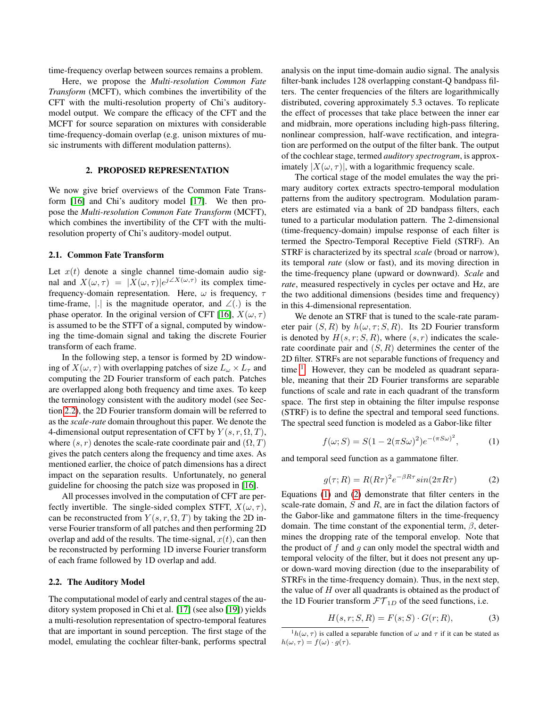time-frequency overlap between sources remains a problem.

Here, we propose the *Multi-resolution Common Fate Transform* (MCFT), which combines the invertibility of the CFT with the multi-resolution property of Chi's auditorymodel output. We compare the efficacy of the CFT and the MCFT for source separation on mixtures with considerable time-frequency-domain overlap (e.g. unison mixtures of music instruments with different modulation patterns).

## 2. PROPOSED REPRESENTATION

We now give brief overviews of the Common Fate Transform [\[16\]](#page-4-15) and Chi's auditory model [\[17\]](#page-4-16). We then propose the *Multi-resolution Common Fate Transform* (MCFT), which combines the invertibility of the CFT with the multiresolution property of Chi's auditory-model output.

# 2.1. Common Fate Transform

Let  $x(t)$  denote a single channel time-domain audio signal and  $X(\omega, \tau) = |X(\omega, \tau)|e^{j\angle X(\omega, \tau)}$  its complex timefrequency-domain representation. Here,  $\omega$  is frequency,  $\tau$ time-frame, |.| is the magnitude operator, and  $\angle$ (.) is the phase operator. In the original version of CFT [\[16\]](#page-4-15),  $X(\omega, \tau)$ is assumed to be the STFT of a signal, computed by windowing the time-domain signal and taking the discrete Fourier transform of each frame.

In the following step, a tensor is formed by 2D windowing of  $X(\omega, \tau)$  with overlapping patches of size  $L_{\omega} \times L_{\tau}$  and computing the 2D Fourier transform of each patch. Patches are overlapped along both frequency and time axes. To keep the terminology consistent with the auditory model (see Section [2.2\)](#page-1-0), the 2D Fourier transform domain will be referred to as the *scale-rate* domain throughout this paper. We denote the 4-dimensional output representation of CFT by  $Y(s, r, \Omega, T)$ , where  $(s, r)$  denotes the scale-rate coordinate pair and  $(\Omega, T)$ gives the patch centers along the frequency and time axes. As mentioned earlier, the choice of patch dimensions has a direct impact on the separation results. Unfortunately, no general guideline for choosing the patch size was proposed in [\[16\]](#page-4-15).

All processes involved in the computation of CFT are perfectly invertible. The single-sided complex STFT,  $X(\omega, \tau)$ , can be reconstructed from  $Y(s, r, \Omega, T)$  by taking the 2D inverse Fourier transform of all patches and then performing 2D overlap and add of the results. The time-signal,  $x(t)$ , can then be reconstructed by performing 1D inverse Fourier transform of each frame followed by 1D overlap and add.

#### <span id="page-1-0"></span>2.2. The Auditory Model

The computational model of early and central stages of the auditory system proposed in Chi et al. [\[17\]](#page-4-16) (see also [\[19\]](#page-4-18)) yields a multi-resolution representation of spectro-temporal features that are important in sound perception. The first stage of the model, emulating the cochlear filter-bank, performs spectral analysis on the input time-domain audio signal. The analysis filter-bank includes 128 overlapping constant-Q bandpass filters. The center frequencies of the filters are logarithmically distributed, covering approximately 5.3 octaves. To replicate the effect of processes that take place between the inner ear and midbrain, more operations including high-pass filtering, nonlinear compression, half-wave rectification, and integration are performed on the output of the filter bank. The output of the cochlear stage, termed *auditory spectrogram*, is approximately  $|X(\omega, \tau)|$ , with a logarithmic frequency scale.

The cortical stage of the model emulates the way the primary auditory cortex extracts spectro-temporal modulation patterns from the auditory spectrogram. Modulation parameters are estimated via a bank of 2D bandpass filters, each tuned to a particular modulation pattern. The 2-dimensional (time-frequency-domain) impulse response of each filter is termed the Spectro-Temporal Receptive Field (STRF). An STRF is characterized by its spectral *scale* (broad or narrow), its temporal *rate* (slow or fast), and its moving direction in the time-frequency plane (upward or downward). *Scale* and *rate*, measured respectively in cycles per octave and Hz, are the two additional dimensions (besides time and frequency) in this 4-dimensional representation.

We denote an STRF that is tuned to the scale-rate parameter pair  $(S, R)$  by  $h(\omega, \tau; S, R)$ . Its 2D Fourier transform is denoted by  $H(s, r; S, R)$ , where  $(s, r)$  indicates the scalerate coordinate pair and  $(S, R)$  determines the center of the 2D filter. STRFs are not separable functions of frequency and time  $1$ . However, they can be modeled as quadrant separable, meaning that their 2D Fourier transforms are separable functions of scale and rate in each quadrant of the transform space. The first step in obtaining the filter impulse response (STRF) is to define the spectral and temporal seed functions. The spectral seed function is modeled as a Gabor-like filter

<span id="page-1-2"></span>
$$
f(\omega; S) = S(1 - 2(\pi S\omega)^{2})e^{-(\pi S\omega)^{2}},
$$
 (1)

and temporal seed function as a gammatone filter.

<span id="page-1-3"></span>
$$
g(\tau;R) = R(R\tau)^2 e^{-\beta R\tau} \sin(2\pi R\tau)
$$
 (2)

Equations [\(1\)](#page-1-2) and [\(2\)](#page-1-3) demonstrate that filter centers in the scale-rate domain,  $S$  and  $R$ , are in fact the dilation factors of the Gabor-like and gammatone filters in the time-frequency domain. The time constant of the exponential term,  $\beta$ , determines the dropping rate of the temporal envelop. Note that the product of  $f$  and  $q$  can only model the spectral width and temporal velocity of the filter, but it does not present any upor down-ward moving direction (due to the inseparability of STRFs in the time-frequency domain). Thus, in the next step, the value of  $H$  over all quadrants is obtained as the product of the 1D Fourier transform  $FT_{1D}$  of the seed functions, i.e.

$$
H(s,r;S,R) = F(s;S) \cdot G(r;R),\tag{3}
$$

<span id="page-1-1"></span> ${}^{1}h(\omega, \tau)$  is called a separable function of  $\omega$  and  $\tau$  if it can be stated as  $h(\omega, \tau) = f(\omega) \cdot g(\tau).$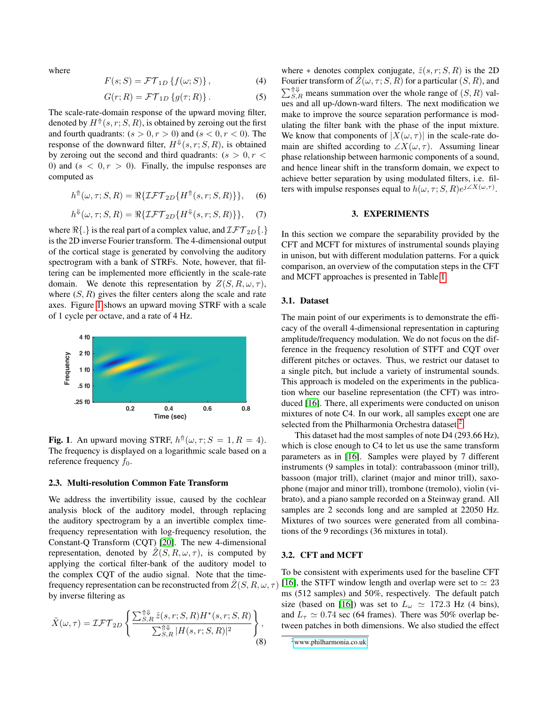where

$$
F(s;S) = \mathcal{FT}_{1D}\left\{f(\omega;S)\right\},\tag{4}
$$

$$
G(r;R) = \mathcal{FT}_{1D}\left\{g(\tau;R)\right\}.
$$
 (5)

The scale-rate-domain response of the upward moving filter, denoted by  $H^{\uparrow}(s, r; S, R)$ , is obtained by zeroing out the first and fourth quadrants:  $(s > 0, r > 0)$  and  $(s < 0, r < 0)$ . The response of the downward filter,  $H^{\psi}(s, r; S, R)$ , is obtained by zeroing out the second and third quadrants:  $(s > 0, r <$ 0) and  $(s < 0, r > 0)$ . Finally, the impulse responses are computed as

$$
h^{\Uparrow}(\omega,\tau;S,R) = \Re{\{\mathcal{IFT}_{2D}\{H^{\Uparrow}(s,r;S,R)\}\}},
$$
 (6)

$$
h^{\Downarrow}(\omega,\tau;S,R) = \Re{\{\mathcal{IFT}_{2D}\{H^{\Downarrow}(s,r;S,R)\}\}},\quad(7)
$$

where  $\Re{\{\cdot\}}$  is the real part of a complex value, and  $\Im \mathcal{I} \mathcal{F} \mathcal{T}_{2D} {\{\cdot\}}$ is the 2D inverse Fourier transform. The 4-dimensional output of the cortical stage is generated by convolving the auditory spectrogram with a bank of STRFs. Note, however, that filtering can be implemented more efficiently in the scale-rate domain. We denote this representation by  $Z(S, R, \omega, \tau)$ , where  $(S, R)$  gives the filter centers along the scale and rate axes. Figure [1](#page-2-0) shows an upward moving STRF with a scale of 1 cycle per octave, and a rate of 4 Hz.



<span id="page-2-0"></span>Fig. 1. An upward moving STRF,  $h^{\Uparrow}(\omega, \tau; S = 1, R = 4)$ . The frequency is displayed on a logarithmic scale based on a reference frequency  $f_0$ .

### 2.3. Multi-resolution Common Fate Transform

We address the invertibility issue, caused by the cochlear analysis block of the auditory model, through replacing the auditory spectrogram by a an invertible complex timefrequency representation with log-frequency resolution, the Constant-Q Transform (CQT) [\[20\]](#page-4-19). The new 4-dimensional representation, denoted by  $\hat{Z}(S, R, \omega, \tau)$ , is computed by applying the cortical filter-bank of the auditory model to the complex CQT of the audio signal. Note that the timefrequency representation can be reconstructed from  $\tilde{Z}(S, R, \omega, \tau)$ by inverse filtering as

$$
\tilde{X}(\omega,\tau) = \mathcal{IFT}_{2D} \left\{ \frac{\sum_{S,R}^{\uparrow \Downarrow} \hat{z}(s,r;S,R)H^*(s,r;S,R)}{\sum_{S,R}^{\uparrow \Downarrow} |H(s,r;S,R)|^2} \right\},\tag{8}
$$

where  $*$  denotes complex conjugate,  $\hat{z}(s, r; S, R)$  is the 2D Fourier transform of  $\tilde{Z}(\omega, \tau; S, R)$  for a particular  $(S, R)$ , and  $\sum_{S,R}^{\uparrow \Downarrow}$  means summation over the whole range of  $(S,R)$  values and all up-/down-ward filters. The next modification we make to improve the source separation performance is modulating the filter bank with the phase of the input mixture. We know that components of  $|X(\omega, \tau)|$  in the scale-rate domain are shifted according to  $\angle X(\omega, \tau)$ . Assuming linear phase relationship between harmonic components of a sound, and hence linear shift in the transform domain, we expect to achieve better separation by using modulated filters, i.e. filters with impulse responses equal to  $h(\omega, \tau; S, R)e^{j\angle X(\omega, \tau)}$ .

#### 3. EXPERIMENTS

In this section we compare the separability provided by the CFT and MCFT for mixtures of instrumental sounds playing in unison, but with different modulation patterns. For a quick comparison, an overview of the computation steps in the CFT and MCFT approaches is presented in Table [1.](#page-3-0)

## 3.1. Dataset

The main point of our experiments is to demonstrate the efficacy of the overall 4-dimensional representation in capturing amplitude/frequency modulation. We do not focus on the difference in the frequency resolution of STFT and CQT over different pitches or octaves. Thus, we restrict our dataset to a single pitch, but include a variety of instrumental sounds. This approach is modeled on the experiments in the publication where our baseline representation (the CFT) was introduced [\[16\]](#page-4-15). There, all experiments were conducted on unison mixtures of note C4. In our work, all samples except one are selected from the Philharmonia Orchestra dataset  $2$ .

This dataset had the most samples of note D4 (293.66 Hz), which is close enough to C4 to let us use the same transform parameters as in [\[16\]](#page-4-15). Samples were played by 7 different instruments (9 samples in total): contrabassoon (minor trill), bassoon (major trill), clarinet (major and minor trill), saxophone (major and minor trill), trombone (tremolo), violin (vibrato), and a piano sample recorded on a Steinway grand. All samples are 2 seconds long and are sampled at 22050 Hz. Mixtures of two sources were generated from all combinations of the 9 recordings (36 mixtures in total).

## 3.2. CFT and MCFT

To be consistent with experiments used for the baseline CFT [\[16\]](#page-4-15), the STFT window length and overlap were set to  $\simeq 23$ ms (512 samples) and 50%, respectively. The default patch size (based on [\[16\]](#page-4-15)) was set to  $L_{\omega} \simeq 172.3$  Hz (4 bins), and  $L_{\tau} \simeq 0.74$  sec (64 frames). There was 50% overlap between patches in both dimensions. We also studied the effect

<span id="page-2-1"></span><sup>2</sup><www.philharmonia.co.uk>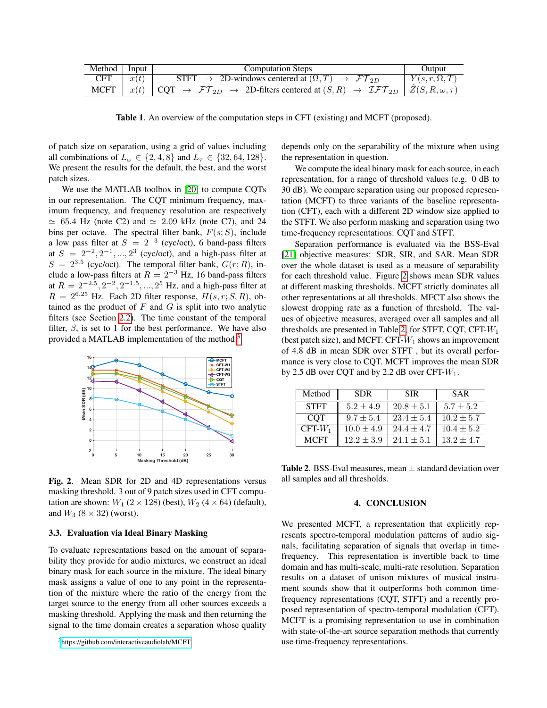| Method      | Input | <b>Computation Steps</b>                                                                                                                                         | Output            |
|-------------|-------|------------------------------------------------------------------------------------------------------------------------------------------------------------------|-------------------|
| CFT         | x(t)  | STFT $\rightarrow$ 2D-windows centered at $(\Omega, T)$ $\rightarrow$ $FT_{2D}$                                                                                  | $Y(s,r,\Omega,T)$ |
| <b>MCFT</b> |       | $\perp x(t)$   CQT $\rightarrow$ FT <sub>2D</sub> $\rightarrow$ 2D-filters centered at $(S,R)$ $\rightarrow$ IFT <sub>2D</sub>   $\overline{Z}(S,R,\omega,\tau)$ |                   |

<span id="page-3-0"></span>Table 1. An overview of the computation steps in CFT (existing) and MCFT (proposed).

of patch size on separation, using a grid of values including all combinations of  $L_{\omega} \in \{2, 4, 8\}$  and  $L_{\tau} \in \{32, 64, 128\}$ . We present the results for the default, the best, and the worst patch sizes.

We use the MATLAB toolbox in [\[20\]](#page-4-19) to compute CQTs in our representation. The CQT minimum frequency, maximum frequency, and frequency resolution are respectively  $\simeq$  65.4 Hz (note C2) and  $\simeq$  2.09 kHz (note C7), and 24 bins per octave. The spectral filter bank,  $F(s; S)$ , include a low pass filter at  $S = 2^{-3}$  (cyc/oct), 6 band-pass filters at  $S = 2^{-2}, 2^{-1}, ..., 2^3$  (cyc/oct), and a high-pass filter at  $S = 2^{3.5}$  (cyc/oct). The temporal filter bank,  $G(r;R)$ , include a low-pass filters at  $R = 2^{-3}$  Hz, 16 band-pass filters at  $R = 2^{-2.5}, 2^{-2}, 2^{-1.5}, ..., 2^{5}$  Hz, and a high-pass filter at  $R = 2^{6.25}$  Hz. Each 2D filter response,  $H(s, r; S, R)$ , obtained as the product of  $F$  and  $G$  is split into two analytic filters (see Section [2.2\)](#page-1-0). The time constant of the temporal filter,  $\beta$ , is set to 1 for the best performance. We have also provided a MATLAB implementation of the method  $3$ .



<span id="page-3-2"></span>Fig. 2. Mean SDR for 2D and 4D representations versus masking threshold. 3 out of 9 patch sizes used in CFT computation are shown:  $W_1$  (2 × 128) (best),  $W_2$  (4 × 64) (default), and  $W_3$  (8  $\times$  32) (worst).

### 3.3. Evaluation via Ideal Binary Masking

To evaluate representations based on the amount of separability they provide for audio mixtures, we construct an ideal binary mask for each source in the mixture. The ideal binary mask assigns a value of one to any point in the representation of the mixture where the ratio of the energy from the target source to the energy from all other sources exceeds a masking threshold. Applying the mask and then returning the signal to the time domain creates a separation whose quality

depends only on the separability of the mixture when using the representation in question.

We compute the ideal binary mask for each source, in each representation, for a range of threshold values (e.g. 0 dB to 30 dB). We compare separation using our proposed representation (MCFT) to three variants of the baseline representation (CFT), each with a different 2D window size applied to the STFT. We also perform masking and separation using two time-frequency representations: CQT and STFT.

Separation performance is evaluated via the BSS-Eval [\[21\]](#page-4-20) objective measures: SDR, SIR, and SAR. Mean SDR over the whole dataset is used as a measure of separability for each threshold value. Figure [2](#page-3-2) shows mean SDR values at different masking thresholds. MCFT strictly dominates all other representations at all thresholds. MFCT also shows the slowest dropping rate as a function of threshold. The values of objective measures, averaged over all samples and all thresholds are presented in Table [2,](#page-3-3) for STFT, CQT, CFT- $W_1$ (best patch size), and MCFT. CFT- $W_1$  shows an improvement of 4.8 dB in mean SDR over STFT , but its overall performance is very close to CQT. MCFT improves the mean SDR by 2.5 dB over CQT and by 2.2 dB over CFT- $W_1$ .

| Method      | <b>SDR</b>     | <b>SIR</b>     | <b>SAR</b>     |
|-------------|----------------|----------------|----------------|
| <b>STFT</b> | $5.2 \pm 4.9$  | $20.8 \pm 5.1$ | $5.7 \pm 5.2$  |
| <b>COT</b>  | $9.7 \pm 5.4$  | $23.4 \pm 5.4$ | $10.2 \pm 5.7$ |
| $CFT-W_1$   | $10.0 \pm 4.9$ | $24.4 \pm 4.7$ | $10.4 \pm 5.2$ |
| <b>MCFT</b> | $12.2 \pm 3.9$ | $24.1 \pm 5.1$ | $13.2 + 4.7$   |

<span id="page-3-3"></span>**Table 2.** BSS-Eval measures, mean  $\pm$  standard deviation over all samples and all thresholds.

### 4. CONCLUSION

We presented MCFT, a representation that explicitly represents spectro-temporal modulation patterns of audio signals, facilitating separation of signals that overlap in timefrequency. This representation is invertible back to time domain and has multi-scale, multi-rate resolution. Separation results on a dataset of unison mixtures of musical instrument sounds show that it outperforms both common timefrequency representations (CQT, STFT) and a recently proposed representation of spectro-temporal modulation (CFT). MCFT is a promising representation to use in combination with state-of-the-art source separation methods that currently use time-frequency representations.

<span id="page-3-1"></span><sup>3</sup><https://github.com/interactiveaudiolab/MCFT>